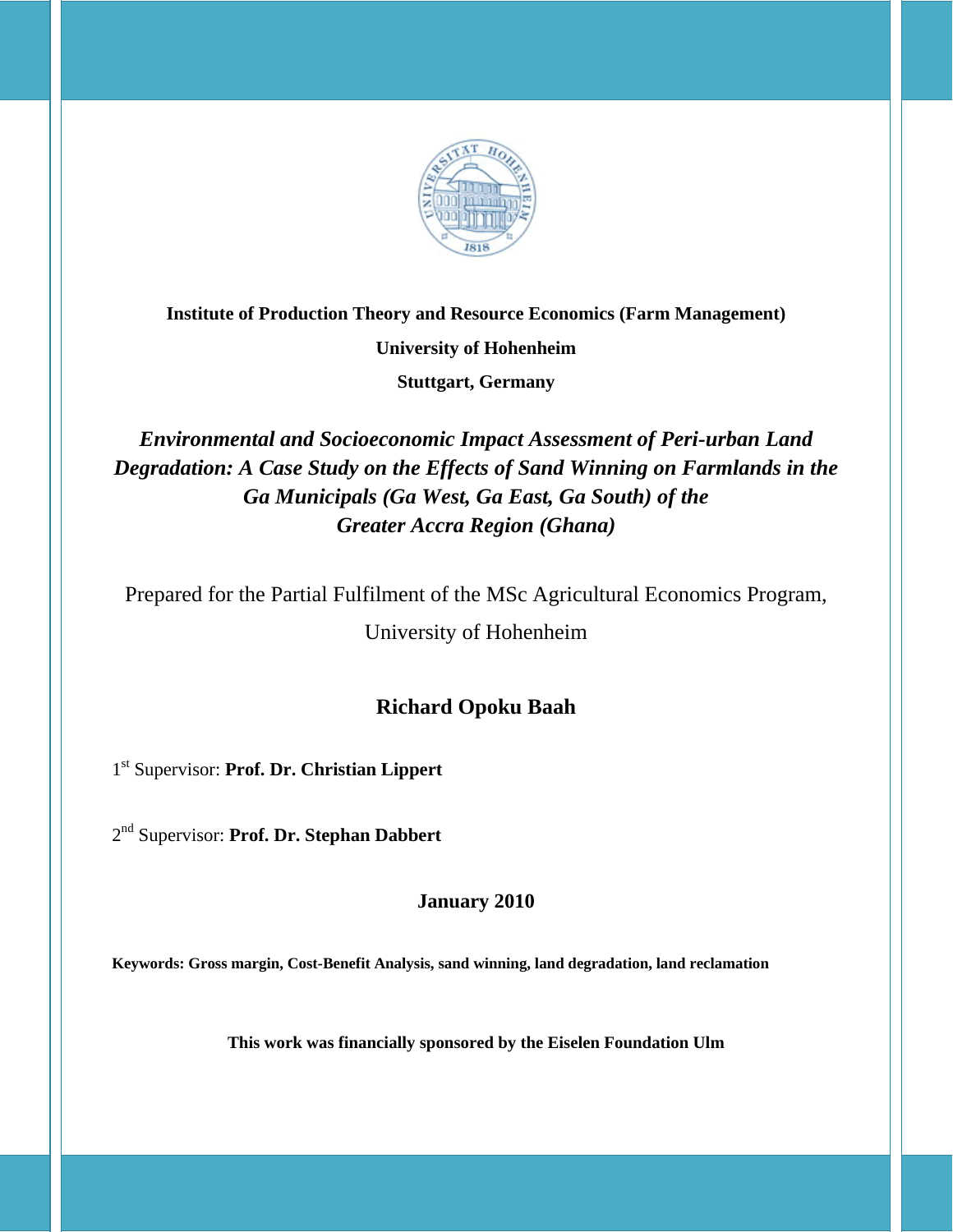

## **Institute of Production Theory and Resource Economics (Farm Management)**

**University of Hohenheim** 

**Stuttgart, Germany**

*Environmental and Socioeconomic Impact Assessment of Peri-urban Land Degradation: A Case Study on the Effects of Sand Winning on Farmlands in the Ga Municipals (Ga West, Ga East, Ga South) of the Greater Accra Region (Ghana)* 

Prepared for the Partial Fulfilment of the MSc Agricultural Economics Program,

University of Hohenheim

## **Richard Opoku Baah**

1st Supervisor: **Prof. Dr. Christian Lippert**

2nd Supervisor: **Prof. Dr. Stephan Dabbert** 

**January 2010** 

**Keywords: Gross margin, Cost-Benefit Analysis, sand winning, land degradation, land reclamation** 

**This work was financially sponsored by the Eiselen Foundation Ulm**